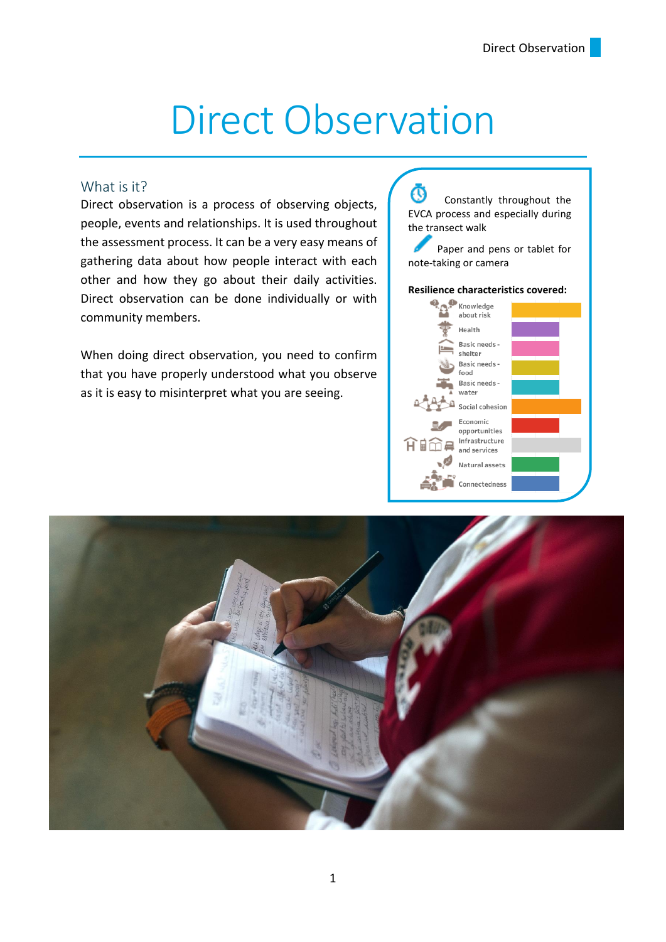# Direct Observation

#### What is it?

Direct observation is a process of observing objects, people, events and relationships. It is used throughout the assessment process. It can be a very easy means of gathering data about how people interact with each other and how they go about their daily activities. Direct observation can be done individually or with community members.

When doing direct observation, you need to confirm that you have properly understood what you observe as it is easy to misinterpret what you are seeing.

O Constantly throughout the EVCA process and especially during the transect walk

 Paper and pens or tablet for note-taking or camera

#### **Resilience characteristics covered:**



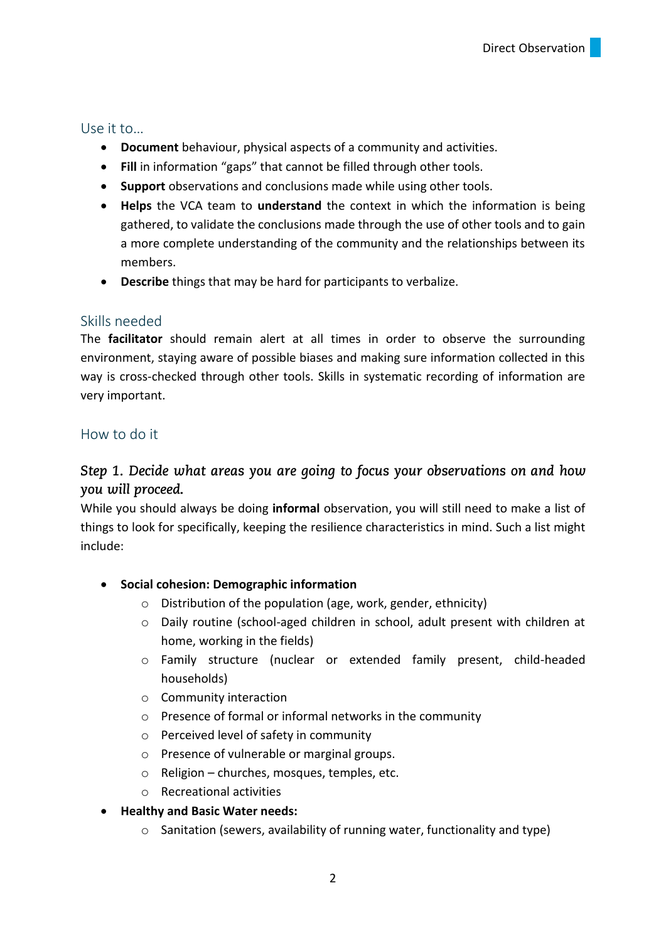## Use it to…

- **Document** behaviour, physical aspects of a community and activities.
- **Fill** in information "gaps" that cannot be filled through other tools.
- **Support** observations and conclusions made while using other tools.
- **Helps** the VCA team to **understand** the context in which the information is being gathered, to validate the conclusions made through the use of other tools and to gain a more complete understanding of the community and the relationships between its members.
- **Describe** things that may be hard for participants to verbalize.

## Skills needed

The **facilitator** should remain alert at all times in order to observe the surrounding environment, staying aware of possible biases and making sure information collected in this way is cross-checked through other tools. Skills in systematic recording of information are very important.

## How to do it

## Step 1. Decide what areas you are going to focus your observations on and how you will proceed.

While you should always be doing **informal** observation, you will still need to make a list of things to look for specifically, keeping the resilience characteristics in mind. Such a list might include:

## • **Social cohesion: Demographic information**

- o Distribution of the population (age, work, gender, ethnicity)
- o Daily routine (school-aged children in school, adult present with children at home, working in the fields)
- o Family structure (nuclear or extended family present, child-headed households)
- o Community interaction
- o Presence of formal or informal networks in the community
- o Perceived level of safety in community
- o Presence of vulnerable or marginal groups.
- o Religion churches, mosques, temples, etc.
- o Recreational activities

## • **Healthy and Basic Water needs:**

o Sanitation (sewers, availability of running water, functionality and type)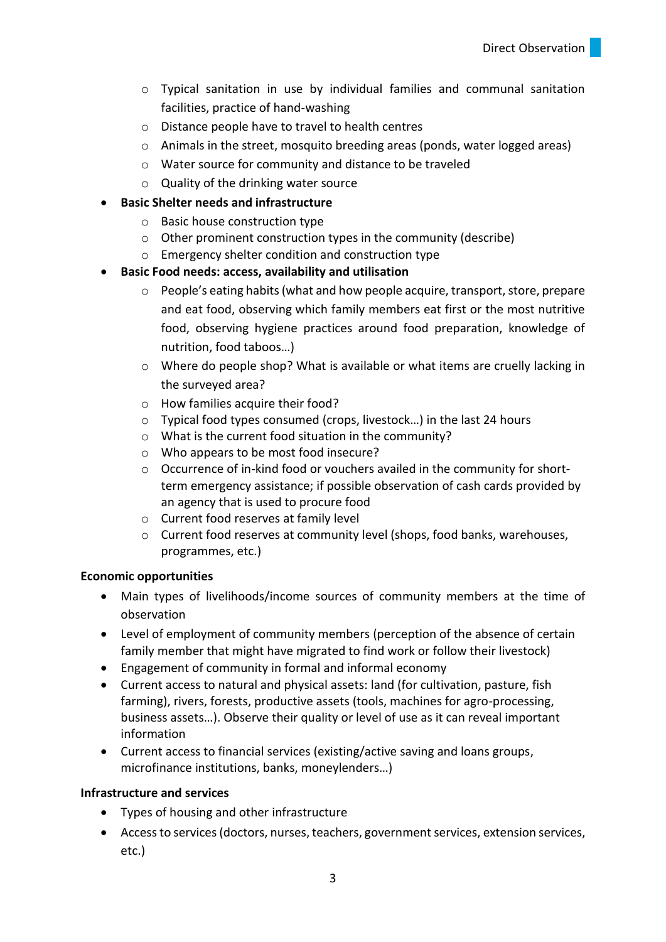- o Typical sanitation in use by individual families and communal sanitation facilities, practice of hand-washing
- o Distance people have to travel to health centres
- o Animals in the street, mosquito breeding areas (ponds, water logged areas)
- o Water source for community and distance to be traveled
- o Quality of the drinking water source

### • **Basic Shelter needs and infrastructure**

- o Basic house construction type
- o Other prominent construction types in the community (describe)
- o Emergency shelter condition and construction type

### • **Basic Food needs: access, availability and utilisation**

- o People's eating habits (what and how people acquire, transport, store, prepare and eat food, observing which family members eat first or the most nutritive food, observing hygiene practices around food preparation, knowledge of nutrition, food taboos…)
- o Where do people shop? What is available or what items are cruelly lacking in the surveyed area?
- o How families acquire their food?
- o Typical food types consumed (crops, livestock…) in the last 24 hours
- o What is the current food situation in the community?
- o Who appears to be most food insecure?
- o Occurrence of in-kind food or vouchers availed in the community for shortterm emergency assistance; if possible observation of cash cards provided by an agency that is used to procure food
- o Current food reserves at family level
- o Current food reserves at community level (shops, food banks, warehouses, programmes, etc.)

#### **Economic opportunities**

- Main types of livelihoods/income sources of community members at the time of observation
- Level of employment of community members (perception of the absence of certain family member that might have migrated to find work or follow their livestock)
- Engagement of community in formal and informal economy
- Current access to natural and physical assets: land (for cultivation, pasture, fish farming), rivers, forests, productive assets (tools, machines for agro-processing, business assets…). Observe their quality or level of use as it can reveal important information
- Current access to financial services (existing/active saving and loans groups, microfinance institutions, banks, moneylenders…)

#### **Infrastructure and services**

- Types of housing and other infrastructure
- Access to services (doctors, nurses, teachers, government services, extension services, etc.)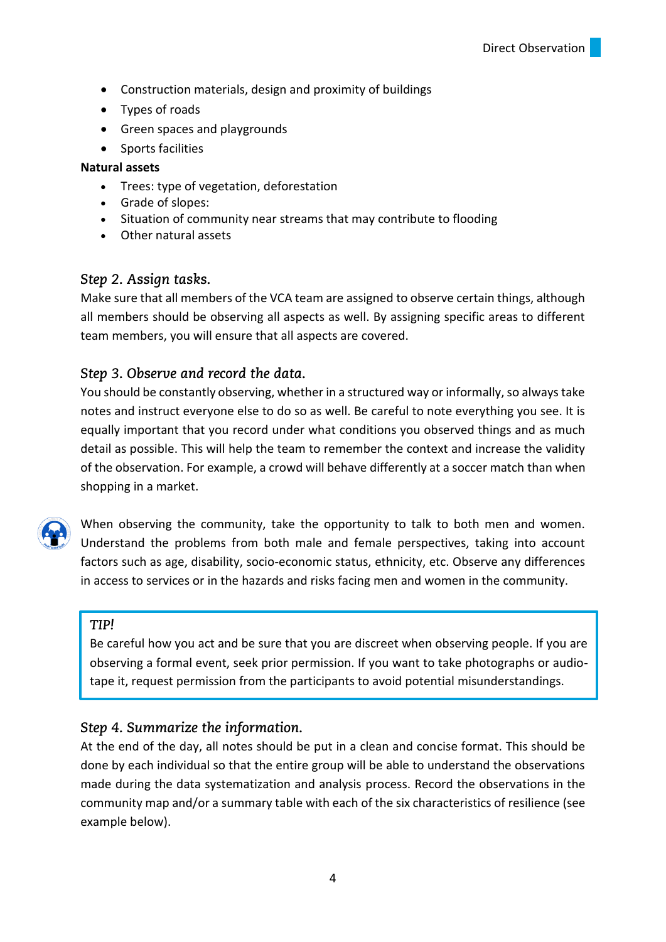- Construction materials, design and proximity of buildings
- Types of roads
- Green spaces and playgrounds
- Sports facilities

#### **Natural assets**

- Trees: type of vegetation, deforestation
- Grade of slopes:
- Situation of community near streams that may contribute to flooding
- Other natural assets

## Step 2. Assign tasks.

Make sure that all members of the VCA team are assigned to observe certain things, although all members should be observing all aspects as well. By assigning specific areas to different team members, you will ensure that all aspects are covered.

## Step 3. Observe and record the data.

You should be constantly observing, whether in a structured way or informally, so always take notes and instruct everyone else to do so as well. Be careful to note everything you see. It is equally important that you record under what conditions you observed things and as much detail as possible. This will help the team to remember the context and increase the validity of the observation. For example, a crowd will behave differently at a soccer match than when shopping in a market.



When observing the community, take the opportunity to talk to both men and women. Understand the problems from both male and female perspectives, taking into account factors such as age, disability, socio-economic status, ethnicity, etc. Observe any differences in access to services or in the hazards and risks facing men and women in the community.

#### TIP!

Be careful how you act and be sure that you are discreet when observing people. If you are observing a formal event, seek prior permission. If you want to take photographs or audiotape it, request permission from the participants to avoid potential misunderstandings.

## Step 4. Summarize the information.

At the end of the day, all notes should be put in a clean and concise format. This should be done by each individual so that the entire group will be able to understand the observations made during the data systematization and analysis process. Record the observations in the community map and/or a summary table with each of the six characteristics of resilience (see example below).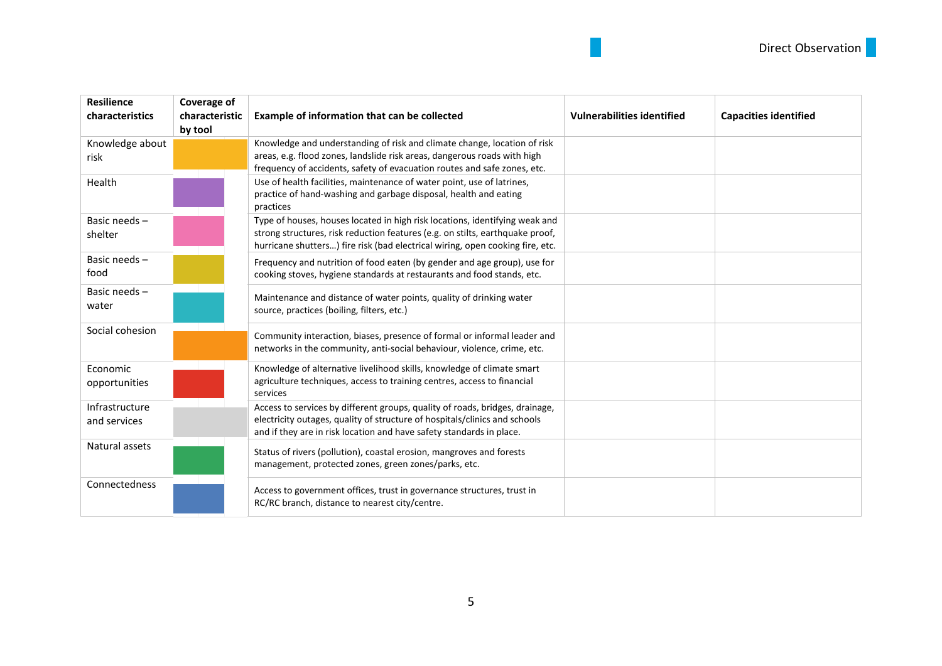| <b>Resilience</b><br>characteristics | Coverage of<br>characteristic<br>by tool | Example of information that can be collected                                                                                                                                                                                                  | <b>Vulnerabilities identified</b> | <b>Capacities identified</b> |
|--------------------------------------|------------------------------------------|-----------------------------------------------------------------------------------------------------------------------------------------------------------------------------------------------------------------------------------------------|-----------------------------------|------------------------------|
| Knowledge about<br>risk              |                                          | Knowledge and understanding of risk and climate change, location of risk<br>areas, e.g. flood zones, landslide risk areas, dangerous roads with high<br>frequency of accidents, safety of evacuation routes and safe zones, etc.              |                                   |                              |
| Health                               |                                          | Use of health facilities, maintenance of water point, use of latrines,<br>practice of hand-washing and garbage disposal, health and eating<br>practices                                                                                       |                                   |                              |
| Basic needs -<br>shelter             |                                          | Type of houses, houses located in high risk locations, identifying weak and<br>strong structures, risk reduction features (e.g. on stilts, earthquake proof,<br>hurricane shutters) fire risk (bad electrical wiring, open cooking fire, etc. |                                   |                              |
| Basic needs-<br>food                 |                                          | Frequency and nutrition of food eaten (by gender and age group), use for<br>cooking stoves, hygiene standards at restaurants and food stands, etc.                                                                                            |                                   |                              |
| Basic needs -<br>water               |                                          | Maintenance and distance of water points, quality of drinking water<br>source, practices (boiling, filters, etc.)                                                                                                                             |                                   |                              |
| Social cohesion                      |                                          | Community interaction, biases, presence of formal or informal leader and<br>networks in the community, anti-social behaviour, violence, crime, etc.                                                                                           |                                   |                              |
| Economic<br>opportunities            |                                          | Knowledge of alternative livelihood skills, knowledge of climate smart<br>agriculture techniques, access to training centres, access to financial<br>services                                                                                 |                                   |                              |
| Infrastructure<br>and services       |                                          | Access to services by different groups, quality of roads, bridges, drainage,<br>electricity outages, quality of structure of hospitals/clinics and schools<br>and if they are in risk location and have safety standards in place.            |                                   |                              |
| Natural assets                       |                                          | Status of rivers (pollution), coastal erosion, mangroves and forests<br>management, protected zones, green zones/parks, etc.                                                                                                                  |                                   |                              |
| Connectedness                        |                                          | Access to government offices, trust in governance structures, trust in<br>RC/RC branch, distance to nearest city/centre.                                                                                                                      |                                   |                              |